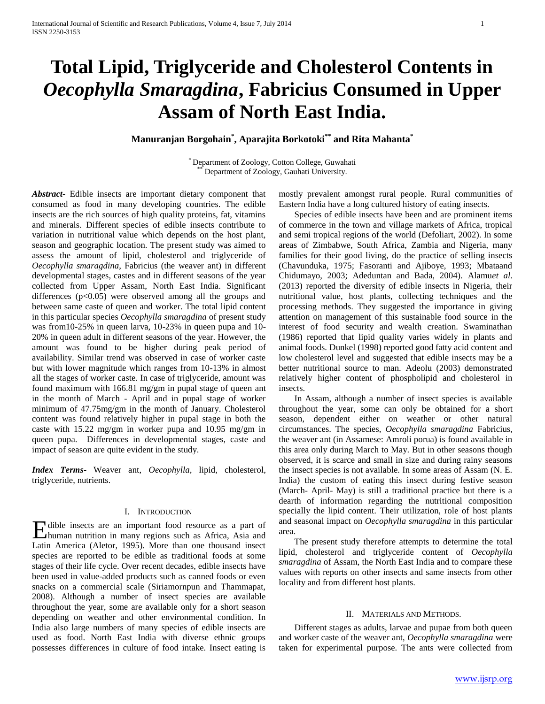# **Total Lipid, Triglyceride and Cholesterol Contents in**  *Oecophylla Smaragdina***, Fabricius Consumed in Upper Assam of North East India.**

**Manuranjan Borgohain\* , Aparajita Borkotoki\*\* and Rita Mahanta\***

\* Department of Zoology, Cotton College, Guwahati Department of Zoology, Gauhati University.

*Abstract***-** Edible insects are important dietary component that consumed as food in many developing countries. The edible insects are the rich sources of high quality proteins, fat, vitamins and minerals. Different species of edible insects contribute to variation in nutritional value which depends on the host plant, season and geographic location. The present study was aimed to assess the amount of lipid, cholesterol and triglyceride of *Oecophylla smaragdina*, Fabricius (the weaver ant) in different developmental stages, castes and in different seasons of the year collected from Upper Assam, North East India. Significant differences  $(p<0.05)$  were observed among all the groups and between same caste of queen and worker. The total lipid content in this particular species *Oecophylla smaragdina* of present study was from10-25% in queen larva, 10-23% in queen pupa and 10- 20% in queen adult in different seasons of the year. However, the amount was found to be higher during peak period of availability. Similar trend was observed in case of worker caste but with lower magnitude which ranges from 10-13% in almost all the stages of worker caste. In case of triglyceride, amount was found maximum with 166.81 mg/gm in pupal stage of queen ant in the month of March - April and in pupal stage of worker minimum of 47.75mg/gm in the month of January. Cholesterol content was found relatively higher in pupal stage in both the caste with 15.22 mg/gm in worker pupa and 10.95 mg/gm in queen pupa. Differences in developmental stages, caste and impact of season are quite evident in the study.

*Index Terms*- Weaver ant, *Oecophylla*, lipid, cholesterol, triglyceride, nutrients.

## I. INTRODUCTION

Holbe insects are an important food resource as a part of human nutrition in many regions such as Africa, Asia and human nutrition in many regions such as Africa, Asia and Latin America (Aletor, 1995). More than one thousand insect species are reported to be edible as traditional foods at some stages of their life cycle. Over recent decades, edible insects have been used in value-added products such as canned foods or even snacks on a commercial scale (Siriamornpun and Thammapat, 2008). Although a number of insect species are available throughout the year, some are available only for a short season depending on weather and other environmental condition. In India also large numbers of many species of edible insects are used as food. North East India with diverse ethnic groups possesses differences in culture of food intake. Insect eating is

mostly prevalent amongst rural people. Rural communities of Eastern India have a long cultured history of eating insects.

 Species of edible insects have been and are prominent items of commerce in the town and village markets of Africa, tropical and semi tropical regions of the world (Defoliart, 2002). In some areas of Zimbabwe, South Africa, Zambia and Nigeria, many families for their good living, do the practice of selling insects (Chavunduka, 1975; Fasoranti and Ajiboye, 1993; Mbataand Chidumayo, 2003; Adeduntan and Bada, 2004). Alamu*et al*. (2013) reported the diversity of edible insects in Nigeria, their nutritional value, host plants, collecting techniques and the processing methods. They suggested the importance in giving attention on management of this sustainable food source in the interest of food security and wealth creation. Swaminathan (1986) reported that lipid quality varies widely in plants and animal foods. Dunkel (1998) reported good fatty acid content and low cholesterol level and suggested that edible insects may be a better nutritional source to man. Adeolu (2003) demonstrated relatively higher content of phospholipid and cholesterol in insects.

 In Assam, although a number of insect species is available throughout the year, some can only be obtained for a short season, dependent either on weather or other natural circumstances. The species, *Oecophylla smaragdina* Fabricius, the weaver ant (in Assamese: Amroli porua) is found available in this area only during March to May. But in other seasons though observed, it is scarce and small in size and during rainy seasons the insect species is not available. In some areas of Assam (N. E. India) the custom of eating this insect during festive season (March- April- May) is still a traditional practice but there is a dearth of information regarding the nutritional composition specially the lipid content. Their utilization, role of host plants and seasonal impact on *Oecophylla smaragdina* in this particular area.

 The present study therefore attempts to determine the total lipid, cholesterol and triglyceride content of *Oecophylla smaragdina* of Assam, the North East India and to compare these values with reports on other insects and same insects from other locality and from different host plants.

## II. MATERIALS AND METHODS.

 Different stages as adults, larvae and pupae from both queen and worker caste of the weaver ant, *Oecophylla smaragdina* were taken for experimental purpose. The ants were collected from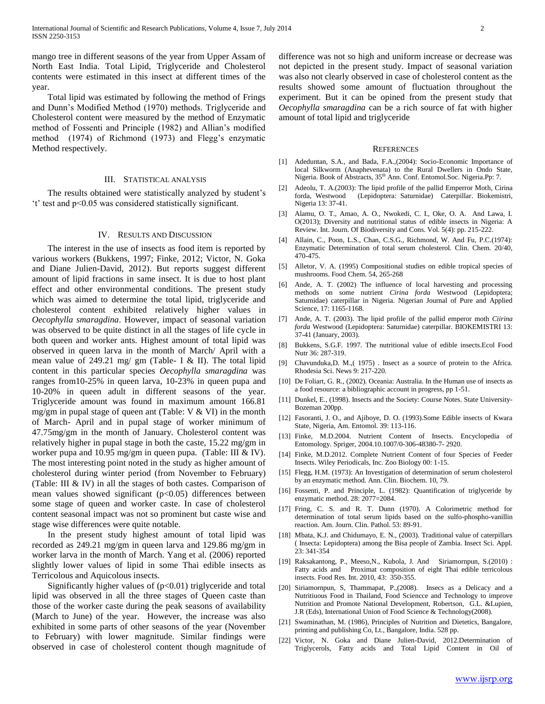mango tree in different seasons of the year from Upper Assam of North East India. Total Lipid, Triglyceride and Cholesterol contents were estimated in this insect at different times of the year.

 Total lipid was estimated by following the method of Frings and Dunn's Modified Method (1970) methods. Triglyceride and Cholesterol content were measured by the method of Enzymatic method of Fossenti and Principle (1982) and Allian's modified method (1974) of Richmond (1973) and Flegg's enzymatic Method respectively.

### III. STATISTICAL ANALYSIS

 The results obtained were statistically analyzed by student's 't' test and p<0.05 was considered statistically significant.

## IV. RESULTS AND DISCUSSION

 The interest in the use of insects as food item is reported by various workers (Bukkens, 1997; Finke, 2012; Victor, N. Goka and Diane Julien-David, 2012). But reports suggest different amount of lipid fractions in same insect. It is due to host plant effect and other environmental conditions. The present study which was aimed to determine the total lipid, triglyceride and cholesterol content exhibited relatively higher values in *Oecophylla smaragdina*. However, impact of seasonal variation was observed to be quite distinct in all the stages of life cycle in both queen and worker ants. Highest amount of total lipid was observed in queen larva in the month of March/ April with a mean value of 249.21 mg/ gm (Table- I & II). The total lipid content in this particular species *Oecophylla smaragdina* was ranges from10-25% in queen larva, 10-23% in queen pupa and 10-20% in queen adult in different seasons of the year. Triglyceride amount was found in maximum amount 166.81 mg/gm in pupal stage of queen ant (Table:  $V & W$ I) in the month of March- April and in pupal stage of worker minimum of 47.75mg/gm in the month of January. Cholesterol content was relatively higher in pupal stage in both the caste, 15.22 mg/gm in worker pupa and 10.95 mg/gm in queen pupa. (Table: III & IV). The most interesting point noted in the study as higher amount of cholesterol during winter period (from November to February) (Table: III & IV) in all the stages of both castes. Comparison of mean values showed significant  $(p<0.05)$  differences between some stage of queen and worker caste. In case of cholesterol content seasonal impact was not so prominent but caste wise and stage wise differences were quite notable.

 In the present study highest amount of total lipid was recorded as 249.21 mg/gm in queen larva and 129.86 mg/gm in worker larva in the month of March. Yang et al. (2006) reported slightly lower values of lipid in some Thai edible insects as Terricolous and Aquicolous insects.

 Significantly higher values of (p<0.01) triglyceride and total lipid was observed in all the three stages of Queen caste than those of the worker caste during the peak seasons of availability (March to June) of the year. However, the increase was also exhibited in some parts of other seasons of the year (November to February) with lower magnitude. Similar findings were observed in case of cholesterol content though magnitude of difference was not so high and uniform increase or decrease was not depicted in the present study. Impact of seasonal variation was also not clearly observed in case of cholesterol content as the results showed some amount of fluctuation throughout the experiment. But it can be opined from the present study that *Oecophylla smaragdina* can be a rich source of fat with higher amount of total lipid and triglyceride

#### REFERENCES

- [1] Adeduntan, S.A., and Bada, F.A.,(2004): Socio-Economic Importance of local Silkworm (Anaphevenata) to the Rural Dwellers in Ondo State, Nigeria. Book of Abstracts, 35<sup>th</sup> Ann. Conf. Entomol.Soc. Nigeria.Pp: 7.
- [2] Adeolu, T. A.(2003): The lipid profile of the pallid Emperror Moth, Cirina forda, Westwood (Lepidoptera: Saturnidae) Caterpillar. Biokemistri, Nigeria 13: 37-41.
- [3] Alamu, O. T., Amao, A. O., Nwokedi, C. I., Oke, O. A. And Lawa, I. O(2013); Diversity and nutritional status of edible insects in Nigeria: A Review. Int. Journ. Of Biodiversity and Cons. Vol. 5(4): pp. 215-222.
- [4] Allain, C., Poon, L.S., Chan, C.S.G., Richmond, W. And Fu, P.C.(1974): Enzymatic Determination of total serum cholesterol. Clin. Chem. 20/40, 470-475.
- [5] Alletor, V. A. (1995) Compositional studies on edible tropical species of mushrooms. Food Chem. 54, 265-268
- [6] Ande, A. T. (2002) The influence of local harvesting and processing methods on some nutrient *Cirina forda* Westwood (Lepidoptera; Saturnidae) caterpillar in Nigeria. Nigerian Journal of Pure and Applied Science, 17: 1165-1168.
- [7] Ande, A. T. (2003). The lipid profile of the pallid emperor moth *Ciirina forda* Westwood (Lepidoptera: Saturnidae) caterpillar. BIOKEMISTRI 13: 37-41 (January, 2003).
- [8] Bukkens, S.G.F. 1997. The nutritional value of edible insects.Ecol Food Nutr 36: 287-319.
- [9] Chavunduka,D. M.,( 1975) . Insect as a source of protein to the Africa. Rhodesia Sci. News 9: 217-220.
- [10] De Foliart, G. R., (2002). Oceania: Australia. In the Human use of insects as a food resource: a bibliographic account in progress, pp 1-51.
- [11] Dunkel, E., (1998). Insects and the Society: Course Notes. State University-Bozeman 200pp.
- [12] Fasoranti, J. O., and Ajiboye, D. O. (1993). Some Edible insects of Kwara State, Nigeria, Am. Entomol. 39: 113-116.
- [13] Finke, M.D.2004. Nutrient Content of Insects. Encyclopedia of Entomology. Spriger, 2004.10.1007/0-306-48380-7- 2920.
- [14] Finke, M.D.2012. Complete Nutrient Content of four Species of Feeder Insects. Wiley Periodicals, Inc. Zoo Biology 00: 1-15.
- [15] Flegg, H.M. (1973): An Investigation of determination of serum cholesterol by an enzymatic method. Ann. Clin. Biochem. 10, 79.
- [16] Fossenti, P. and Principle, L. (1982): Quantification of triglyceride by enzymatic method. 28: 2077=2084.
- [17] Fring, C. S. and R. T. Dunn (1970). A Colorimetric method for determination of total serum lipids based on the sulfo-phospho-vanillin reaction. Am. Journ. Clin. Pathol. 53: 89-91.
- [18] Mbata, K.J. and Chidumayo, E. N., (2003). Traditional value of caterpillars ( Insecta: Lepidoptera) among the Bisa people of Zambia. Insect Sci. Appl. 23: 341-354
- [19] Raksakantong, P., Meeso,N., Kubola, J. And Siriamornpun, S.(2010) : Fatty acids and Proximat composition of eight Thai edible terricolous insects. Food Res. Int. 2010, 43: 350-355.
- [20] Siriamornpun, S, Thammapat, P.,(2008). Insecs as a Delicacy and a Nutritiuous Food in Thailand, Food Sciencce and Technology to improve Nutrition and Promote National Development, Robertson, G.L. &Lupien, J.R (Eds), International Union of Food Science & Technology(2008).
- [21] Swaminathan, M. (1986), Principles of Nutrition and Dietetics, Bangalore, printing and publishing Co, Lt., Bangalore, India. 528 pp.
- [22] Victor, N. Goka and Diane Julien-David, 2012.Determination of Triglycerols, Fatty acids and Total Lipid Content in Oil of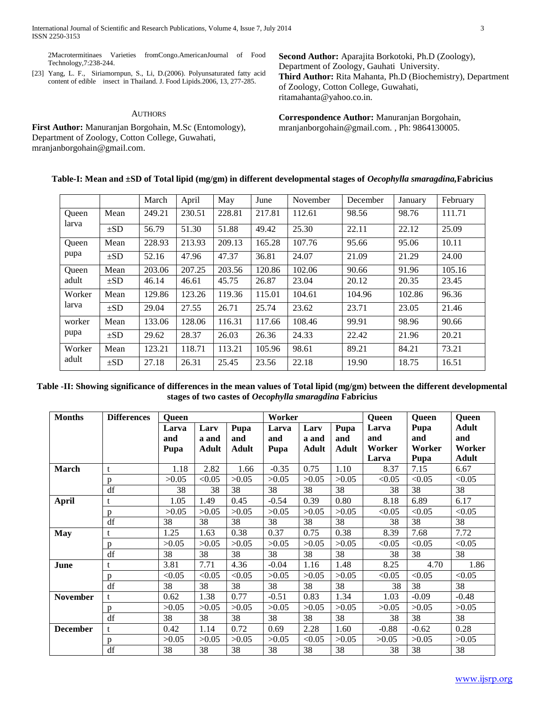2Macrotermitinaes Varieties fromCongo.AmericanJournal of Food Technology,7:238-244.

[23] Yang, L. F., Siriamornpun, S., Li, D.(2006). Polyunsaturated fatty acid content of edible insect in Thailand. J. Food Lipids.2006, 13, 277-285.

## **AUTHORS**

**First Author:** Manuranjan Borgohain, M.Sc (Entomology), Department of Zoology, Cotton College, Guwahati, mranjanborgohain@gmail.com.

**Second Author:** Aparajita Borkotoki, Ph.D (Zoology), Department of Zoology, Gauhati University. **Third Author:** Rita Mahanta, Ph.D (Biochemistry), Department of Zoology, Cotton College, Guwahati, ritamahanta@yahoo.co.in.

**Correspondence Author:** Manuranjan Borgohain, mranjanborgohain@gmail.com. , Ph: 9864130005.

| Table-I: Mean and ±SD of Total lipid (mg/gm) in different developmental stages of Oecophylla smaragdina, Fabricius |  |  |  |
|--------------------------------------------------------------------------------------------------------------------|--|--|--|
|                                                                                                                    |  |  |  |

|              |          | March  | April  | May    | June   | November | December | January | February |
|--------------|----------|--------|--------|--------|--------|----------|----------|---------|----------|
| <b>Oueen</b> | Mean     | 249.21 | 230.51 | 228.81 | 217.81 | 112.61   | 98.56    | 98.76   | 111.71   |
| larva        | $\pm SD$ | 56.79  | 51.30  | 51.88  | 49.42  | 25.30    | 22.11    | 22.12   | 25.09    |
| <b>Oueen</b> | Mean     | 228.93 | 213.93 | 209.13 | 165.28 | 107.76   | 95.66    | 95.06   | 10.11    |
| pupa         | $\pm SD$ | 52.16  | 47.96  | 47.37  | 36.81  | 24.07    | 21.09    | 21.29   | 24.00    |
| Oueen        | Mean     | 203.06 | 207.25 | 203.56 | 120.86 | 102.06   | 90.66    | 91.96   | 105.16   |
| adult        | $\pm SD$ | 46.14  | 46.61  | 45.75  | 26.87  | 23.04    | 20.12    | 20.35   | 23.45    |
| Worker       | Mean     | 129.86 | 123.26 | 119.36 | 115.01 | 104.61   | 104.96   | 102.86  | 96.36    |
| larva        | $\pm SD$ | 29.04  | 27.55  | 26.71  | 25.74  | 23.62    | 23.71    | 23.05   | 21.46    |
| worker       | Mean     | 133.06 | 128.06 | 116.31 | 117.66 | 108.46   | 99.91    | 98.96   | 90.66    |
| pupa         | $\pm SD$ | 29.62  | 28.37  | 26.03  | 26.36  | 24.33    | 22.42    | 21.96   | 20.21    |
| Worker       | Mean     | 123.21 | 118.71 | 113.21 | 105.96 | 98.61    | 89.21    | 84.21   | 73.21    |
| adult        | $\pm SD$ | 27.18  | 26.31  | 25.45  | 23.56  | 22.18    | 19.90    | 18.75   | 16.51    |

**Table -II: Showing significance of differences in the mean values of Total lipid (mg/gm) between the different developmental stages of two castes of** *Oecophylla smaragdina* **Fabricius**

| <b>Months</b>   | <b>Differences</b> | <b>Queen</b> |        |              | Worker  |              |              | <b>Queen</b> | <b>Queen</b> | <b>Queen</b> |
|-----------------|--------------------|--------------|--------|--------------|---------|--------------|--------------|--------------|--------------|--------------|
|                 |                    | Larva        | Larv   | Pupa         | Larva   | Larv         | Pupa         | Larva        | Pupa         | <b>Adult</b> |
|                 |                    | and          | a and  | and          | and     | a and        | and          | and          | and          | and          |
|                 |                    | Pupa         | Adult  | <b>Adult</b> | Pupa    | <b>Adult</b> | <b>Adult</b> | Worker       | Worker       | Worker       |
|                 |                    |              |        |              |         |              |              | Larva        | Pupa         | <b>Adult</b> |
| <b>March</b>    | t                  | 1.18         | 2.82   | 1.66         | $-0.35$ | 0.75         | 1.10         | 8.37         | 7.15         | 6.67         |
|                 | p                  | >0.05        | < 0.05 | >0.05        | >0.05   | >0.05        | >0.05        | < 0.05       | < 0.05       | < 0.05       |
|                 | df                 | 38           | 38     | 38           | 38      | 38           | 38           | 38           | 38           | 38           |
| <b>April</b>    | t                  | 1.05         | 1.49   | 0.45         | $-0.54$ | 0.39         | 0.80         | 8.18         | 6.89         | 6.17         |
|                 | p                  | >0.05        | >0.05  | >0.05        | >0.05   | >0.05        | >0.05        | < 0.05       | < 0.05       | < 0.05       |
|                 | df                 | 38           | 38     | 38           | 38      | 38           | 38           | 38           | 38           | 38           |
| <b>May</b>      | t                  | 1.25         | 1.63   | 0.38         | 0.37    | 0.75         | 0.38         | 8.39         | 7.68         | 7.72         |
|                 | p                  | >0.05        | >0.05  | >0.05        | >0.05   | >0.05        | >0.05        | < 0.05       | < 0.05       | < 0.05       |
|                 | df                 | 38           | 38     | 38           | 38      | 38           | 38           | 38           | 38           | 38           |
| June            | t                  | 3.81         | 7.71   | 4.36         | $-0.04$ | 1.16         | 1.48         | 8.25         | 4.70         | 1.86         |
|                 | p                  | < 0.05       | < 0.05 | < 0.05       | >0.05   | >0.05        | >0.05        | < 0.05       | < 0.05       | < 0.05       |
|                 | df                 | 38           | 38     | 38           | 38      | 38           | 38           | 38           | 38           | 38           |
| <b>November</b> | t                  | 0.62         | 1.38   | 0.77         | $-0.51$ | 0.83         | 1.34         | 1.03         | $-0.09$      | $-0.48$      |
|                 | p                  | >0.05        | >0.05  | >0.05        | >0.05   | >0.05        | >0.05        | >0.05        | >0.05        | >0.05        |
|                 | df                 | 38           | 38     | 38           | 38      | 38           | 38           | 38           | 38           | 38           |
| <b>December</b> | t                  | 0.42         | 1.14   | 0.72         | 0.69    | 2.28         | 1.60         | $-0.88$      | $-0.62$      | 0.28         |
|                 | p                  | >0.05        | >0.05  | >0.05        | >0.05   | < 0.05       | >0.05        | >0.05        | >0.05        | >0.05        |
|                 | df                 | 38           | 38     | 38           | 38      | 38           | 38           | 38           | 38           | 38           |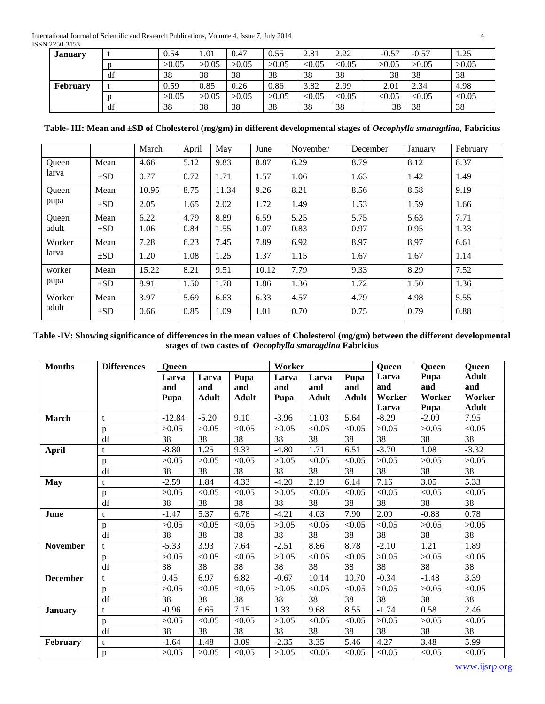International Journal of Scientific and Research Publications, Volume 4, Issue 7, July 2014 4 ISSN 2250-3153

| <b>January</b>  |    | 0.54  | 1.01  | 0.47  | 0.55  | 2.81   | 2.22   | $-0.57$ | $-0.57$ | 1.25   |
|-----------------|----|-------|-------|-------|-------|--------|--------|---------|---------|--------|
|                 |    | >0.05 | >0.05 | >0.05 | >0.05 | < 0.05 | < 0.05 | >0.05   | >0.05   | >0.05  |
|                 | df | 38    | 38    | 38    | 38    | 38     | 38     | 38      | 38      | 38     |
| <b>February</b> |    | 0.59  | 0.85  | 0.26  | 0.86  | 3.82   | 2.99   | 2.01    | 2.34    | 4.98   |
|                 |    | >0.05 | >0.05 | >0.05 | >0.05 | < 0.05 | < 0.05 | < 0.05  | < 0.05  | < 0.05 |
|                 | df | 38    | 38    | 38    | 38    | 38     | 38     | 38      | 38      | 38     |

**Table- III: Mean and ±SD of Cholesterol (mg/gm) in different developmental stages of** *Oecophylla smaragdina,* **Fabricius**

|        |          | March | April | May   | June  | November | December | January | February |
|--------|----------|-------|-------|-------|-------|----------|----------|---------|----------|
| Oueen  | Mean     | 4.66  | 5.12  | 9.83  | 8.87  | 6.29     | 8.79     | 8.12    | 8.37     |
| larva  | $\pm SD$ | 0.77  | 0.72  | 1.71  | 1.57  | 1.06     | 1.63     | 1.42    | 1.49     |
| Oueen  | Mean     | 10.95 | 8.75  | 11.34 | 9.26  | 8.21     | 8.56     | 8.58    | 9.19     |
| pupa   | $\pm SD$ | 2.05  | 1.65  | 2.02  | 1.72  | 1.49     | 1.53     | 1.59    | 1.66     |
| Queen  | Mean     | 6.22  | 4.79  | 8.89  | 6.59  | 5.25     | 5.75     | 5.63    | 7.71     |
| adult  | $\pm SD$ | 1.06  | 0.84  | 1.55  | 1.07  | 0.83     | 0.97     | 0.95    | 1.33     |
| Worker | Mean     | 7.28  | 6.23  | 7.45  | 7.89  | 6.92     | 8.97     | 8.97    | 6.61     |
| larva  | $\pm SD$ | 1.20  | 1.08  | 1.25  | 1.37  | 1.15     | 1.67     | 1.67    | 1.14     |
| worker | Mean     | 15.22 | 8.21  | 9.51  | 10.12 | 7.79     | 9.33     | 8.29    | 7.52     |
| pupa   | $\pm SD$ | 8.91  | 1.50  | 1.78  | 1.86  | 1.36     | 1.72     | 1.50    | 1.36     |
| Worker | Mean     | 3.97  | 5.69  | 6.63  | 6.33  | 4.57     | 4.79     | 4.98    | 5.55     |
| adult  | $\pm SD$ | 0.66  | 0.85  | 1.09  | 1.01  | 0.70     | 0.75     | 0.79    | 0.88     |

**Table -IV: Showing significance of differences in the mean values of Cholesterol (mg/gm) between the different developmental stages of two castes of** *Oecophylla smaragdina* **Fabricius**

| <b>Months</b>   | <b>Differences</b>     | <b>Queen</b>         |                              |                             | Worker               |                              |                             | <b>Queen</b>                    | Queen                         | <b>Queen</b>                                  |
|-----------------|------------------------|----------------------|------------------------------|-----------------------------|----------------------|------------------------------|-----------------------------|---------------------------------|-------------------------------|-----------------------------------------------|
|                 |                        | Larva<br>and<br>Pupa | Larva<br>and<br><b>Adult</b> | Pupa<br>and<br><b>Adult</b> | Larva<br>and<br>Pupa | Larva<br>and<br><b>Adult</b> | Pupa<br>and<br><b>Adult</b> | Larva<br>and<br>Worker<br>Larva | Pupa<br>and<br>Worker<br>Pupa | <b>Adult</b><br>and<br>Worker<br><b>Adult</b> |
| March           | t                      | $-12.84$             | $-5.20$                      | 9.10                        | $-3.96$              | 11.03                        | 5.64                        | $-8.29$                         | $-2.09$                       | 7.95                                          |
|                 | $\mathbf{p}$           | >0.05                | >0.05                        | < 0.05                      | >0.05                | < 0.05                       | < 0.05                      | >0.05                           | >0.05                         | < 0.05                                        |
|                 | df                     | 38                   | 38                           | 38                          | 38                   | 38                           | 38                          | 38                              | 38                            | 38                                            |
| <b>April</b>    | $\mathbf t$            | $-8.80$              | 1.25                         | 9.33                        | $-4.80$              | 1.71                         | 6.51                        | $-3.70$                         | 1.08                          | $-3.32$                                       |
|                 | p                      | >0.05                | >0.05                        | < 0.05                      | >0.05                | < 0.05                       | < 0.05                      | >0.05                           | >0.05                         | >0.05                                         |
|                 | df                     | 38                   | 38                           | 38                          | 38                   | 38                           | 38                          | 38                              | 38                            | 38                                            |
| <b>May</b>      | t                      | $-2.59$              | 1.84                         | 4.33                        | $-4.20$              | 2.19                         | 6.14                        | 7.16                            | 3.05                          | 5.33                                          |
|                 | $\mathbf{p}$           | >0.05                | < 0.05                       | < 0.05                      | >0.05                | < 0.05                       | < 0.05                      | < 0.05                          | < 0.05                        | < 0.05                                        |
|                 | df                     | 38                   | 38                           | 38                          | 38                   | 38                           | 38                          | $\overline{38}$                 | 38                            | 38                                            |
| June            | t                      | $-1.47$              | 5.37                         | 6.78                        | $-4.21$              | 4.03                         | 7.90                        | 2.09                            | $-0.88$                       | 0.78                                          |
|                 | p                      | >0.05                | < 0.05                       | < 0.05                      | >0.05                | < 0.05                       | < 0.05                      | < 0.05                          | >0.05                         | >0.05                                         |
|                 | $\mathrm{d}\mathrm{f}$ | 38                   | 38                           | 38                          | 38                   | 38                           | 38                          | 38                              | 38                            | $\overline{38}$                               |
| <b>November</b> | $\mathbf t$            | $-5.33$              | 3.93                         | 7.64                        | $-2.51$              | 8.86                         | 8.78                        | $-2.10$                         | 1.21                          | 1.89                                          |
|                 | p                      | >0.05                | < 0.05                       | < 0.05                      | >0.05                | < 0.05                       | < 0.05                      | >0.05                           | >0.05                         | < 0.05                                        |
|                 | df                     | 38                   | 38                           | 38                          | 38                   | 38                           | 38                          | 38                              | 38                            | 38                                            |
| <b>December</b> | $\mathbf{t}$           | 0.45                 | 6.97                         | 6.82                        | $-0.67$              | 10.14                        | 10.70                       | $-0.34$                         | $-1.48$                       | 3.39                                          |
|                 | p                      | >0.05                | < 0.05                       | < 0.05                      | >0.05                | < 0.05                       | < 0.05                      | >0.05                           | >0.05                         | < 0.05                                        |
|                 | df                     | 38                   | 38                           | 38                          | 38                   | 38                           | 38                          | 38                              | 38                            | 38                                            |
| <b>January</b>  | t                      | $-0.96$              | 6.65                         | 7.15                        | 1.33                 | 9.68                         | 8.55                        | $-1.74$                         | 0.58                          | 2.46                                          |
|                 | p                      | >0.05                | < 0.05                       | < 0.05                      | >0.05                | < 0.05                       | < 0.05                      | >0.05                           | >0.05                         | < 0.05                                        |
|                 | df                     | 38                   | 38                           | 38                          | 38                   | 38                           | 38                          | 38                              | 38                            | 38                                            |
| February        | t                      | $-1.64$              | 1.48                         | 3.09                        | $-2.35$              | 3.35                         | 5.46                        | 4.27                            | 3.48                          | 5.99                                          |
|                 | p                      | >0.05                | >0.05                        | < 0.05                      | >0.05                | < 0.05                       | < 0.05                      | < 0.05                          | < 0.05                        | < 0.05                                        |